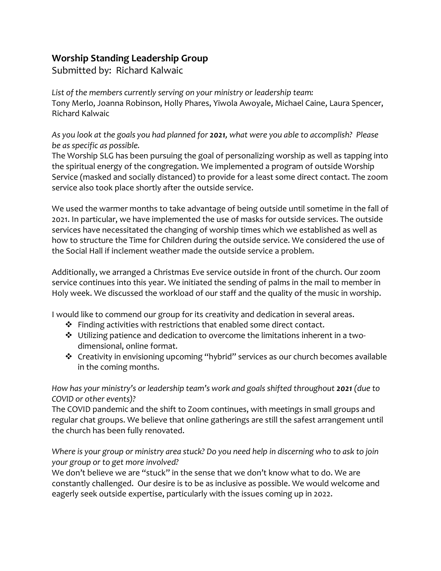## **Worship Standing Leadership Group**

Submitted by: Richard Kalwaic

*List of the members currently serving on your ministry or leadership team:* Tony Merlo, Joanna Robinson, Holly Phares, Yiwola Awoyale, Michael Caine, Laura Spencer, Richard Kalwaic

*As you look at the goals you had planned for 2021, what were you able to accomplish? Please be as specific as possible.*

The Worship SLG has been pursuing the goal of personalizing worship as well as tapping into the spiritual energy of the congregation. We implemented a program of outside Worship Service (masked and socially distanced) to provide for a least some direct contact. The zoom service also took place shortly after the outside service.

We used the warmer months to take advantage of being outside until sometime in the fall of 2021. In particular, we have implemented the use of masks for outside services. The outside services have necessitated the changing of worship times which we established as well as how to structure the Time for Children during the outside service. We considered the use of the Social Hall if inclement weather made the outside service a problem.

Additionally, we arranged a Christmas Eve service outside in front of the church. Our zoom service continues into this year. We initiated the sending of palms in the mail to member in Holy week. We discussed the workload of our staff and the quality of the music in worship.

I would like to commend our group for its creativity and dedication in several areas.

- ❖ Finding activities with restrictions that enabled some direct contact.
- ❖ Utilizing patience and dedication to overcome the limitations inherent in a twodimensional, online format.
- ❖ Creativity in envisioning upcoming "hybrid" services as our church becomes available in the coming months.

*How has your ministry's or leadership team's work and goals shifted throughout 2021 (due to COVID or other events)?*

The COVID pandemic and the shift to Zoom continues, with meetings in small groups and regular chat groups. We believe that online gatherings are still the safest arrangement until the church has been fully renovated.

Where is your group or ministry area stuck? Do you need help in discerning who to ask to join *your group or to get more involved?*

We don't believe we are "stuck" in the sense that we don't know what to do. We are constantly challenged. Our desire is to be as inclusive as possible. We would welcome and eagerly seek outside expertise, particularly with the issues coming up in 2022.